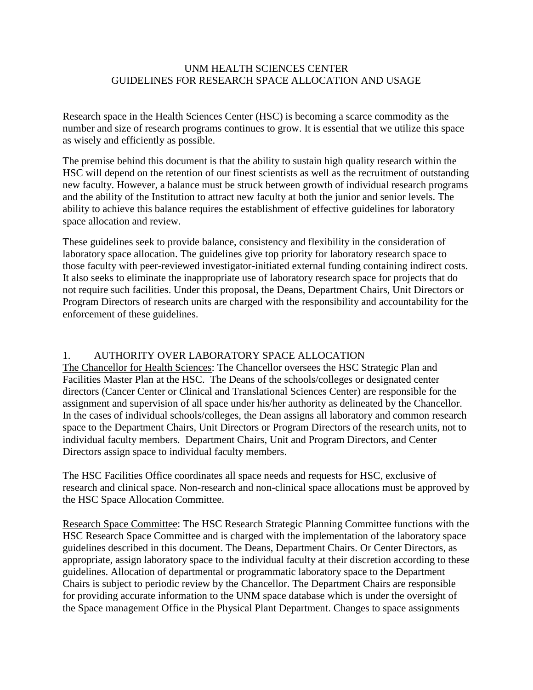#### UNM HEALTH SCIENCES CENTER GUIDELINES FOR RESEARCH SPACE ALLOCATION AND USAGE

Research space in the Health Sciences Center (HSC) is becoming a scarce commodity as the number and size of research programs continues to grow. It is essential that we utilize this space as wisely and efficiently as possible.

The premise behind this document is that the ability to sustain high quality research within the HSC will depend on the retention of our finest scientists as well as the recruitment of outstanding new faculty. However, a balance must be struck between growth of individual research programs and the ability of the Institution to attract new faculty at both the junior and senior levels. The ability to achieve this balance requires the establishment of effective guidelines for laboratory space allocation and review.

These guidelines seek to provide balance, consistency and flexibility in the consideration of laboratory space allocation. The guidelines give top priority for laboratory research space to those faculty with peer-reviewed investigator-initiated external funding containing indirect costs. It also seeks to eliminate the inappropriate use of laboratory research space for projects that do not require such facilities. Under this proposal, the Deans, Department Chairs, Unit Directors or Program Directors of research units are charged with the responsibility and accountability for the enforcement of these guidelines.

### 1. AUTHORITY OVER LABORATORY SPACE ALLOCATION

The Chancellor for Health Sciences: The Chancellor oversees the HSC Strategic Plan and Facilities Master Plan at the HSC. The Deans of the schools/colleges or designated center directors (Cancer Center or Clinical and Translational Sciences Center) are responsible for the assignment and supervision of all space under his/her authority as delineated by the Chancellor. In the cases of individual schools/colleges, the Dean assigns all laboratory and common research space to the Department Chairs, Unit Directors or Program Directors of the research units, not to individual faculty members. Department Chairs, Unit and Program Directors, and Center Directors assign space to individual faculty members.

The HSC Facilities Office coordinates all space needs and requests for HSC, exclusive of research and clinical space. Non-research and non-clinical space allocations must be approved by the HSC Space Allocation Committee.

Research Space Committee: The HSC Research Strategic Planning Committee functions with the HSC Research Space Committee and is charged with the implementation of the laboratory space guidelines described in this document. The Deans, Department Chairs. Or Center Directors, as appropriate, assign laboratory space to the individual faculty at their discretion according to these guidelines. Allocation of departmental or programmatic laboratory space to the Department Chairs is subject to periodic review by the Chancellor. The Department Chairs are responsible for providing accurate information to the UNM space database which is under the oversight of the Space management Office in the Physical Plant Department. Changes to space assignments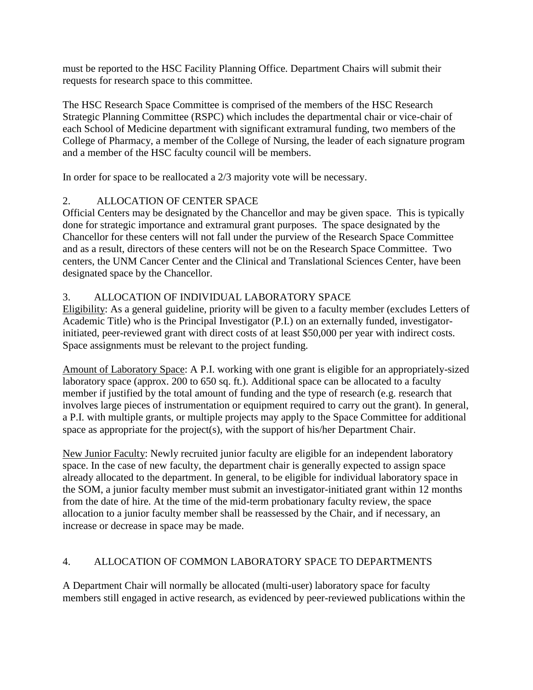must be reported to the HSC Facility Planning Office. Department Chairs will submit their requests for research space to this committee.

The HSC Research Space Committee is comprised of the members of the HSC Research Strategic Planning Committee (RSPC) which includes the departmental chair or vice-chair of each School of Medicine department with significant extramural funding, two members of the College of Pharmacy, a member of the College of Nursing, the leader of each signature program and a member of the HSC faculty council will be members.

In order for space to be reallocated a 2/3 majority vote will be necessary.

# 2. ALLOCATION OF CENTER SPACE

Official Centers may be designated by the Chancellor and may be given space. This is typically done for strategic importance and extramural grant purposes. The space designated by the Chancellor for these centers will not fall under the purview of the Research Space Committee and as a result, directors of these centers will not be on the Research Space Committee. Two centers, the UNM Cancer Center and the Clinical and Translational Sciences Center, have been designated space by the Chancellor.

# 3. ALLOCATION OF INDIVIDUAL LABORATORY SPACE

Eligibility: As a general guideline, priority will be given to a faculty member (excludes Letters of Academic Title) who is the Principal Investigator (P.I.) on an externally funded, investigatorinitiated, peer-reviewed grant with direct costs of at least \$50,000 per year with indirect costs. Space assignments must be relevant to the project funding.

Amount of Laboratory Space: A P.I. working with one grant is eligible for an appropriately-sized laboratory space (approx. 200 to 650 sq. ft.). Additional space can be allocated to a faculty member if justified by the total amount of funding and the type of research (e.g. research that involves large pieces of instrumentation or equipment required to carry out the grant). In general, a P.I. with multiple grants, or multiple projects may apply to the Space Committee for additional space as appropriate for the project(s), with the support of his/her Department Chair.

New Junior Faculty: Newly recruited junior faculty are eligible for an independent laboratory space. In the case of new faculty, the department chair is generally expected to assign space already allocated to the department. In general, to be eligible for individual laboratory space in the SOM, a junior faculty member must submit an investigator-initiated grant within 12 months from the date of hire. At the time of the mid-term probationary faculty review, the space allocation to a junior faculty member shall be reassessed by the Chair, and if necessary, an increase or decrease in space may be made.

## 4. ALLOCATION OF COMMON LABORATORY SPACE TO DEPARTMENTS

A Department Chair will normally be allocated (multi-user) laboratory space for faculty members still engaged in active research, as evidenced by peer-reviewed publications within the